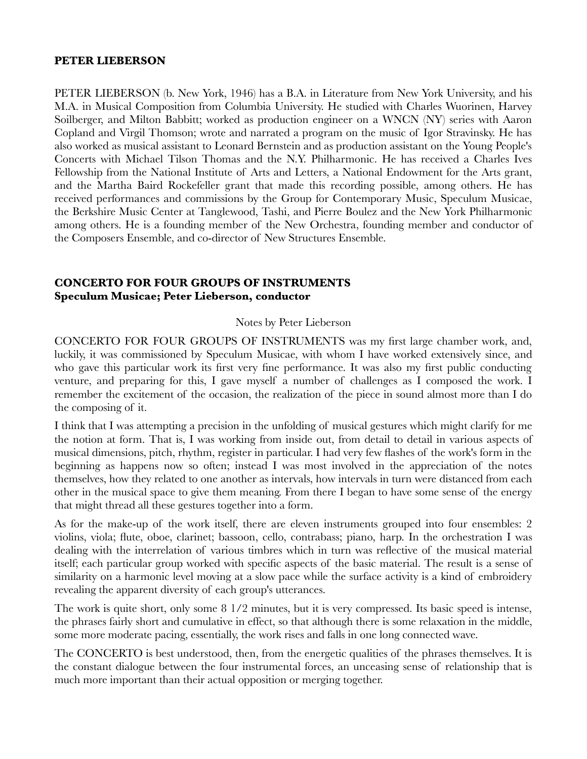#### **PETER LIEBERSON**

PETER LIEBERSON (b. New York, 1946) has a B.A. in Literature from New York University, and his M.A. in Musical Composition from Columbia University. He studied with Charles Wuorinen, Harvey Soilberger, and Milton Babbitt; worked as production engineer on a WNCN (NY) series with Aaron Copland and Virgil Thomson; wrote and narrated a program on the music of Igor Stravinsky. He has also worked as musical assistant to Leonard Bernstein and as production assistant on the Young People's Concerts with Michael Tilson Thomas and the N.Y. Philharmonic. He has received a Charles Ives Fellowship from the National Institute of Arts and Letters, a National Endowment for the Arts grant, and the Martha Baird Rockefeller grant that made this recording possible, among others. He has received performances and commissions by the Group for Contemporary Music, Speculum Musicae, the Berkshire Music Center at Tanglewood, Tashi, and Pierre Boulez and the New York Philharmonic among others. He is a founding member of the New Orchestra, founding member and conductor of the Composers Ensemble, and co-director of New Structures Ensemble.

## **CONCERTO FOR FOUR GROUPS OF INSTRUMENTS Speculum Musicae; Peter Lieberson, conductor**

#### Notes by Peter Lieberson

CONCERTO FOR FOUR GROUPS OF INSTRUMENTS was my first large chamber work, and, luckily, it was commissioned by Speculum Musicae, with whom I have worked extensively since, and who gave this particular work its first very fine performance. It was also my first public conducting venture, and preparing for this, I gave myself a number of challenges as I composed the work. I remember the excitement of the occasion, the realization of the piece in sound almost more than I do the composing of it.

I think that I was attempting a precision in the unfolding of musical gestures which might clarify for me the notion at form. That is, I was working from inside out, from detail to detail in various aspects of musical dimensions, pitch, rhythm, register in particular. I had very few flashes of the work's form in the beginning as happens now so often; instead I was most involved in the appreciation of the notes themselves, how they related to one another as intervals, how intervals in turn were distanced from each other in the musical space to give them meaning. From there I began to have some sense of the energy that might thread all these gestures together into a form.

As for the make-up of the work itself, there are eleven instruments grouped into four ensembles: 2 violins, viola; flute, oboe, clarinet; bassoon, cello, contrabass; piano, harp. In the orchestration I was dealing with the interrelation of various timbres which in turn was reflective of the musical material itself; each particular group worked with specific aspects of the basic material. The result is a sense of similarity on a harmonic level moving at a slow pace while the surface activity is a kind of embroidery revealing the apparent diversity of each group's utterances.

The work is quite short, only some 8 1/2 minutes, but it is very compressed. Its basic speed is intense, the phrases fairly short and cumulative in effect, so that although there is some relaxation in the middle, some more moderate pacing, essentially, the work rises and falls in one long connected wave.

The CONCERTO is best understood, then, from the energetic qualities of the phrases themselves. It is the constant dialogue between the four instrumental forces, an unceasing sense of relationship that is much more important than their actual opposition or merging together.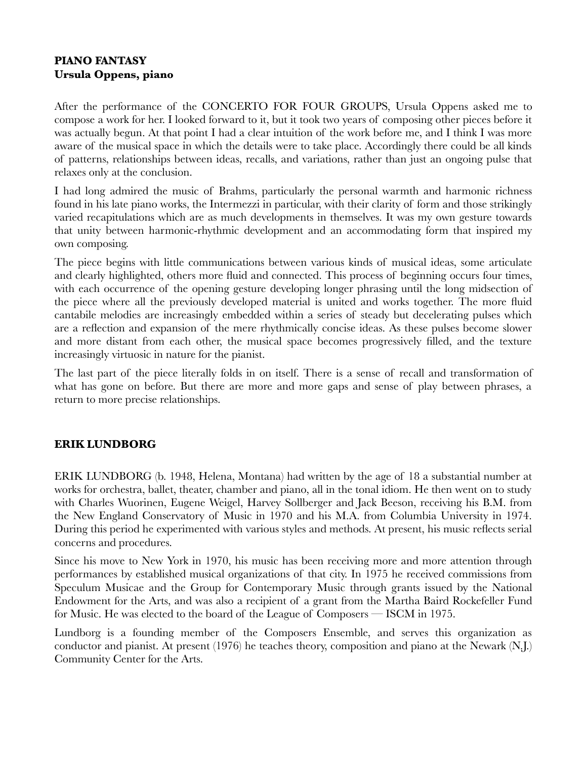# **PIANO FANTASY Ursula Oppens, piano**

After the performance of the CONCERTO FOR FOUR GROUPS, Ursula Oppens asked me to compose a work for her. I looked forward to it, but it took two years of composing other pieces before it was actually begun. At that point I had a clear intuition of the work before me, and I think I was more aware of the musical space in which the details were to take place. Accordingly there could be all kinds of patterns, relationships between ideas, recalls, and variations, rather than just an ongoing pulse that relaxes only at the conclusion.

I had long admired the music of Brahms, particularly the personal warmth and harmonic richness found in his late piano works, the Intermezzi in particular, with their clarity of form and those strikingly varied recapitulations which are as much developments in themselves. It was my own gesture towards that unity between harmonic-rhythmic development and an accommodating form that inspired my own composing.

The piece begins with little communications between various kinds of musical ideas, some articulate and clearly highlighted, others more fluid and connected. This process of beginning occurs four times, with each occurrence of the opening gesture developing longer phrasing until the long midsection of the piece where all the previously developed material is united and works together. The more fluid cantabile melodies are increasingly embedded within a series of steady but decelerating pulses which are a reflection and expansion of the mere rhythmically concise ideas. As these pulses become slower and more distant from each other, the musical space becomes progressively filled, and the texture increasingly virtuosic in nature for the pianist.

The last part of the piece literally folds in on itself. There is a sense of recall and transformation of what has gone on before. But there are more and more gaps and sense of play between phrases, a return to more precise relationships.

# **ERIK LUNDBORG**

ERIK LUNDBORG (b. 1948, Helena, Montana) had written by the age of 18 a substantial number at works for orchestra, ballet, theater, chamber and piano, all in the tonal idiom. He then went on to study with Charles Wuorinen, Eugene Weigel, Harvey Sollberger and Jack Beeson, receiving his B.M. from the New England Conservatory of Music in 1970 and his M.A. from Columbia University in 1974. During this period he experimented with various styles and methods. At present, his music reflects serial concerns and procedures.

Since his move to New York in 1970, his music has been receiving more and more attention through performances by established musical organizations of that city. In 1975 he received commissions from Speculum Musicae and the Group for Contemporary Music through grants issued by the National Endowment for the Arts, and was also a recipient of a grant from the Martha Baird Rockefeller Fund for Music. He was elected to the board of the League of Composers — ISCM in 1975.

Lundborg is a founding member of the Composers Ensemble, and serves this organization as conductor and pianist. At present (1976) he teaches theory, composition and piano at the Newark (N.J.) Community Center for the Arts.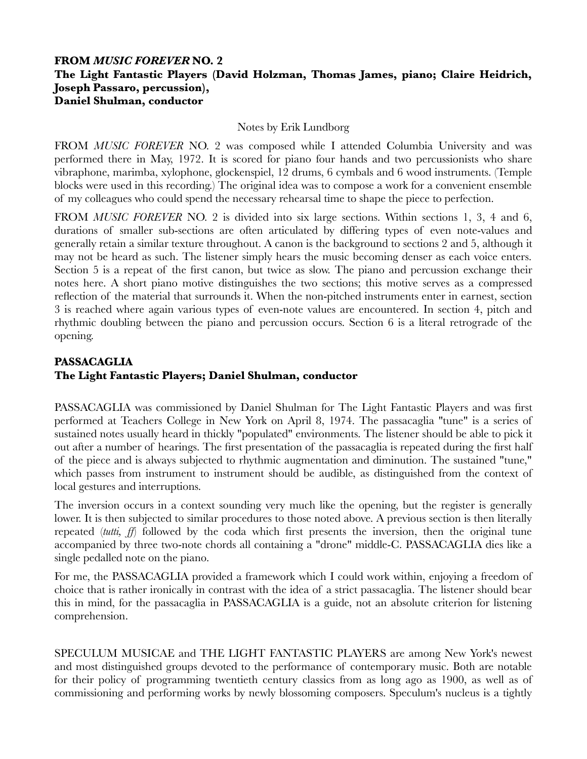## **FROM** *MUSIC FOREVER* **NO. 2 The Light Fantastic Players (David Holzman, Thomas James, piano; Claire Heidrich, Joseph Passaro, percussion), Daniel Shulman, conductor**

#### Notes by Erik Lundborg

FROM *MUSIC FOREVER* NO. 2 was composed while I attended Columbia University and was performed there in May, 1972. It is scored for piano four hands and two percussionists who share vibraphone, marimba, xylophone, glockenspiel, 12 drums, 6 cymbals and 6 wood instruments. (Temple blocks were used in this recording.) The original idea was to compose a work for a convenient ensemble of my colleagues who could spend the necessary rehearsal time to shape the piece to perfection.

FROM *MUSIC FOREVER* NO. 2 is divided into six large sections. Within sections 1, 3, 4 and 6, durations of smaller sub-sections are often articulated by differing types of even note-values and generally retain a similar texture throughout. A canon is the background to sections 2 and 5, although it may not be heard as such. The listener simply hears the music becoming denser as each voice enters. Section 5 is a repeat of the first canon, but twice as slow. The piano and percussion exchange their notes here. A short piano motive distinguishes the two sections; this motive serves as a compressed reflection of the material that surrounds it. When the non-pitched instruments enter in earnest, section 3 is reached where again various types of even-note values are encountered. In section 4, pitch and rhythmic doubling between the piano and percussion occurs. Section 6 is a literal retrograde of the opening.

# **PASSACAGLIA The Light Fantastic Players; Daniel Shulman, conductor**

PASSACAGLIA was commissioned by Daniel Shulman for The Light Fantastic Players and was first performed at Teachers College in New York on April 8, 1974. The passacaglia ''tune" is a series of sustained notes usually heard in thickly "populated" environments. The listener should be able to pick it out after a number of hearings. The first presentation of the passacaglia is repeated during the first half of the piece and is always subjected to rhythmic augmentation and diminution. The sustained "tune," which passes from instrument to instrument should be audible, as distinguished from the context of local gestures and interruptions.

The inversion occurs in a context sounding very much like the opening, but the register is generally lower. It is then subjected to similar procedures to those noted above. A previous section is then literally repeated (*tutti, ff*) followed by the coda which first presents the inversion, then the original tune accompanied by three two-note chords all containing a "drone" middle-C. PASSACAGLIA dies like a single pedalled note on the piano.

For me, the PASSACAGLIA provided a framework which I could work within, enjoying a freedom of choice that is rather ironically in contrast with the idea of a strict passacaglia. The listener should bear this in mind, for the passacaglia in PASSACAGLIA is a guide, not an absolute criterion for listening comprehension.

SPECULUM MUSICAE and THE LIGHT FANTASTIC PLAYERS are among New York's newest and most distinguished groups devoted to the performance of contemporary music. Both are notable for their policy of programming twentieth century classics from as long ago as 1900, as well as of commissioning and performing works by newly blossoming composers. Speculum's nucleus is a tightly